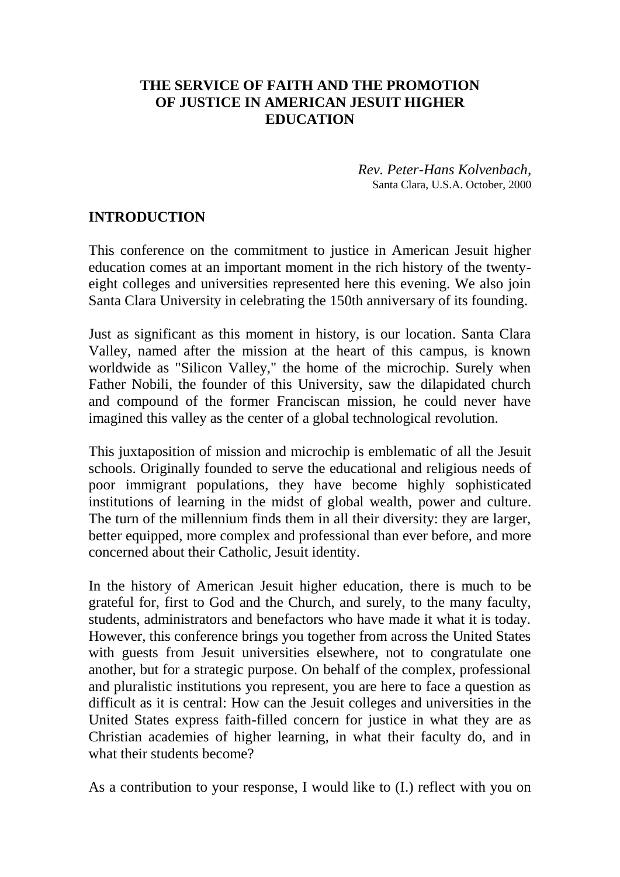### **THE SERVICE OF FAITH AND THE PROMOTION OF JUSTICE IN AMERICAN JESUIT HIGHER EDUCATION**

*Rev. Peter-Hans Kolvenbach,* Santa Clara, U.S.A. October, 2000

#### **INTRODUCTION**

This conference on the commitment to justice in American Jesuit higher education comes at an important moment in the rich history of the twentyeight colleges and universities represented here this evening. We also join Santa Clara University in celebrating the 150th anniversary of its founding.

Just as significant as this moment in history, is our location. Santa Clara Valley, named after the mission at the heart of this campus, is known worldwide as "Silicon Valley," the home of the microchip. Surely when Father Nobili, the founder of this University, saw the dilapidated church and compound of the former Franciscan mission, he could never have imagined this valley as the center of a global technological revolution.

This juxtaposition of mission and microchip is emblematic of all the Jesuit schools. Originally founded to serve the educational and religious needs of poor immigrant populations, they have become highly sophisticated institutions of learning in the midst of global wealth, power and culture. The turn of the millennium finds them in all their diversity: they are larger, better equipped, more complex and professional than ever before, and more concerned about their Catholic, Jesuit identity.

In the history of American Jesuit higher education, there is much to be grateful for, first to God and the Church, and surely, to the many faculty, students, administrators and benefactors who have made it what it is today. However, this conference brings you together from across the United States with guests from Jesuit universities elsewhere, not to congratulate one another, but for a strategic purpose. On behalf of the complex, professional and pluralistic institutions you represent, you are here to face a question as difficult as it is central: How can the Jesuit colleges and universities in the United States express faith-filled concern for justice in what they are as Christian academies of higher learning, in what their faculty do, and in what their students become?

As a contribution to your response, I would like to (I.) reflect with you on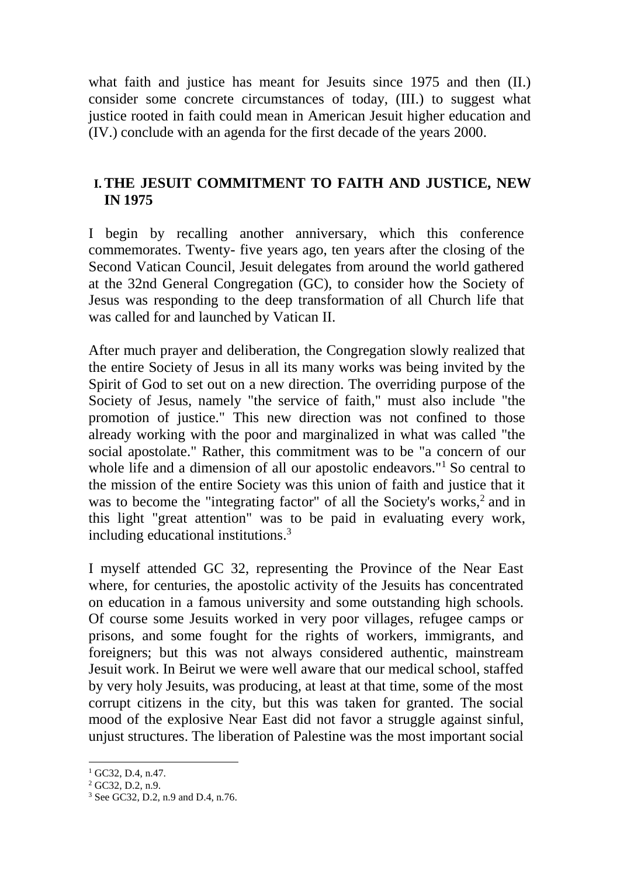what faith and justice has meant for Jesuits since 1975 and then (II.) consider some concrete circumstances of today, (III.) to suggest what justice rooted in faith could mean in American Jesuit higher education and (IV.) conclude with an agenda for the first decade of the years 2000.

## **I.THE JESUIT COMMITMENT TO FAITH AND JUSTICE, NEW IN 1975**

I begin by recalling another anniversary, which this conference commemorates. Twenty- five years ago, ten years after the closing of the Second Vatican Council, Jesuit delegates from around the world gathered at the 32nd General Congregation (GC), to consider how the Society of Jesus was responding to the deep transformation of all Church life that was called for and launched by Vatican II.

After much prayer and deliberation, the Congregation slowly realized that the entire Society of Jesus in all its many works was being invited by the Spirit of God to set out on a new direction. The overriding purpose of the Society of Jesus, namely "the service of faith," must also include "the promotion of justice." This new direction was not confined to those already working with the poor and marginalized in what was called "the social apostolate." Rather, this commitment was to be "a concern of our whole life and a dimension of all our apostolic endeavors."<sup>1</sup> So central to the mission of the entire Society was this union of faith and justice that it was to become the "integrating factor" of all the Society's works,<sup>2</sup> and in this light "great attention" was to be paid in evaluating every work, including educational institutions.<sup>3</sup>

I myself attended GC 32, representing the Province of the Near East where, for centuries, the apostolic activity of the Jesuits has concentrated on education in a famous university and some outstanding high schools. Of course some Jesuits worked in very poor villages, refugee camps or prisons, and some fought for the rights of workers, immigrants, and foreigners; but this was not always considered authentic, mainstream Jesuit work. In Beirut we were well aware that our medical school, staffed by very holy Jesuits, was producing, at least at that time, some of the most corrupt citizens in the city, but this was taken for granted. The social mood of the explosive Near East did not favor a struggle against sinful, unjust structures. The liberation of Palestine was the most important social

 $1$  GC32, D.4, n.47.

 $2$  GC32, D.2, n.9.

<sup>&</sup>lt;sup>3</sup> See GC32, D.2, n.9 and D.4, n.76.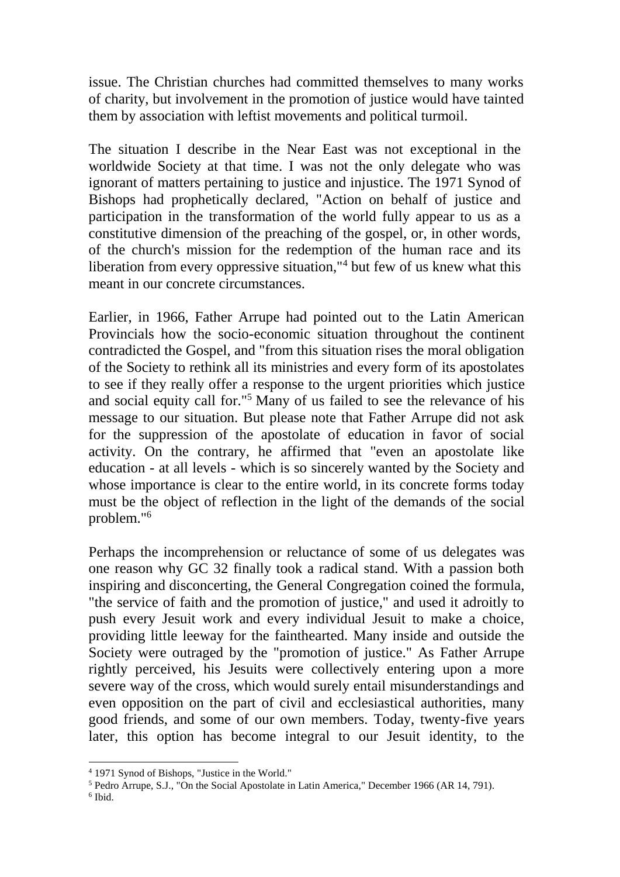issue. The Christian churches had committed themselves to many works of charity, but involvement in the promotion of justice would have tainted them by association with leftist movements and political turmoil.

The situation I describe in the Near East was not exceptional in the worldwide Society at that time. I was not the only delegate who was ignorant of matters pertaining to justice and injustice. The 1971 Synod of Bishops had prophetically declared, "Action on behalf of justice and participation in the transformation of the world fully appear to us as a constitutive dimension of the preaching of the gospel, or, in other words, of the church's mission for the redemption of the human race and its liberation from every oppressive situation,"<sup>4</sup> but few of us knew what this meant in our concrete circumstances.

Earlier, in 1966, Father Arrupe had pointed out to the Latin American Provincials how the socio-economic situation throughout the continent contradicted the Gospel, and "from this situation rises the moral obligation of the Society to rethink all its ministries and every form of its apostolates to see if they really offer a response to the urgent priorities which justice and social equity call for."<sup>5</sup> Many of us failed to see the relevance of his message to our situation. But please note that Father Arrupe did not ask for the suppression of the apostolate of education in favor of social activity. On the contrary, he affirmed that "even an apostolate like education - at all levels - which is so sincerely wanted by the Society and whose importance is clear to the entire world, in its concrete forms today must be the object of reflection in the light of the demands of the social problem."<sup>6</sup>

Perhaps the incomprehension or reluctance of some of us delegates was one reason why GC 32 finally took a radical stand. With a passion both inspiring and disconcerting, the General Congregation coined the formula, "the service of faith and the promotion of justice," and used it adroitly to push every Jesuit work and every individual Jesuit to make a choice, providing little leeway for the fainthearted. Many inside and outside the Society were outraged by the "promotion of justice." As Father Arrupe rightly perceived, his Jesuits were collectively entering upon a more severe way of the cross, which would surely entail misunderstandings and even opposition on the part of civil and ecclesiastical authorities, many good friends, and some of our own members. Today, twenty-five years later, this option has become integral to our Jesuit identity, to the

<sup>4</sup> 1971 Synod of Bishops, "Justice in the World."

<sup>5</sup> Pedro Arrupe, S.J., "On the Social Apostolate in Latin America," December 1966 (AR 14, 791).

<sup>6</sup> Ibid.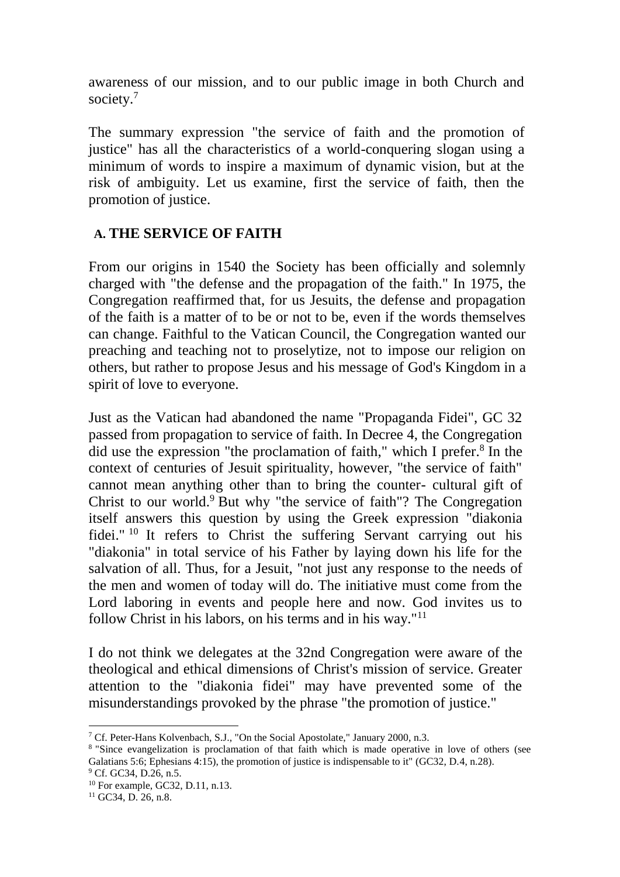awareness of our mission, and to our public image in both Church and society.<sup>7</sup>

The summary expression "the service of faith and the promotion of justice" has all the characteristics of a world-conquering slogan using a minimum of words to inspire a maximum of dynamic vision, but at the risk of ambiguity. Let us examine, first the service of faith, then the promotion of justice.

## **A. THE SERVICE OF FAITH**

From our origins in 1540 the Society has been officially and solemnly charged with "the defense and the propagation of the faith." In 1975, the Congregation reaffirmed that, for us Jesuits, the defense and propagation of the faith is a matter of to be or not to be, even if the words themselves can change. Faithful to the Vatican Council, the Congregation wanted our preaching and teaching not to proselytize, not to impose our religion on others, but rather to propose Jesus and his message of God's Kingdom in a spirit of love to everyone.

Just as the Vatican had abandoned the name "Propaganda Fidei", GC 32 passed from propagation to service of faith. In Decree 4, the Congregation did use the expression "the proclamation of faith," which I prefer.<sup>8</sup> In the context of centuries of Jesuit spirituality, however, "the service of faith" cannot mean anything other than to bring the counter- cultural gift of Christ to our world.<sup>9</sup> But why "the service of faith"? The Congregation itself answers this question by using the Greek expression "diakonia fidei." <sup>10</sup> It refers to Christ the suffering Servant carrying out his "diakonia" in total service of his Father by laying down his life for the salvation of all. Thus, for a Jesuit, "not just any response to the needs of the men and women of today will do. The initiative must come from the Lord laboring in events and people here and now. God invites us to follow Christ in his labors, on his terms and in his way." $11$ 

I do not think we delegates at the 32nd Congregation were aware of the theological and ethical dimensions of Christ's mission of service. Greater attention to the "diakonia fidei" may have prevented some of the misunderstandings provoked by the phrase "the promotion of justice."

<sup>&</sup>lt;sup>7</sup> Cf. Peter-Hans Kolvenbach, S.J., "On the Social Apostolate," January 2000, n.3.

<sup>&</sup>lt;sup>8</sup> "Since evangelization is proclamation of that faith which is made operative in love of others (see Galatians 5:6; Ephesians 4:15), the promotion of justice is indispensable to it" (GC32, D.4, n.28).

<sup>&</sup>lt;sup>9</sup> Cf. GC34, D.26, n.5.

<sup>10</sup> For example, GC32, D.11, n.13.

 $^{11}$  GC34, D. 26, n.8.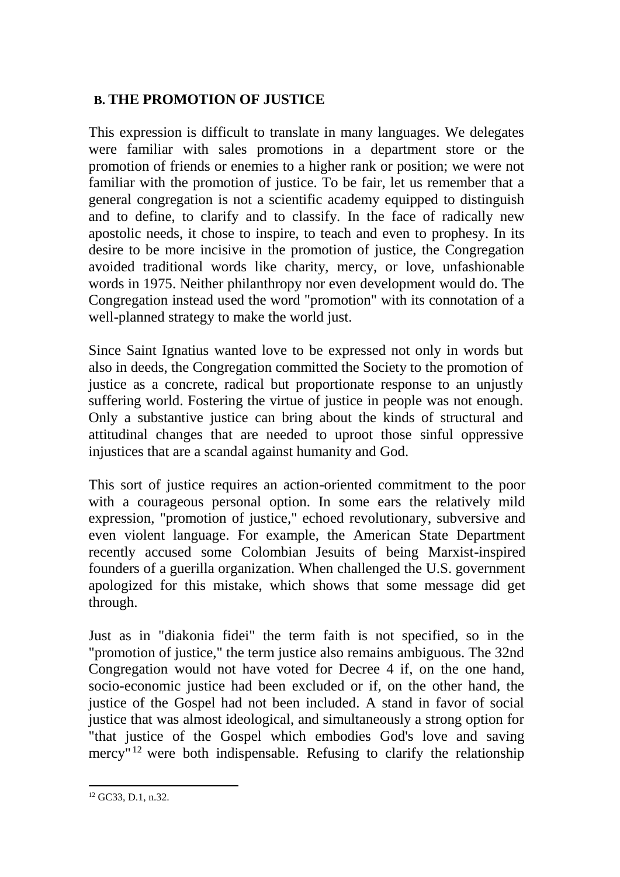## **B. THE PROMOTION OF JUSTICE**

This expression is difficult to translate in many languages. We delegates were familiar with sales promotions in a department store or the promotion of friends or enemies to a higher rank or position; we were not familiar with the promotion of justice. To be fair, let us remember that a general congregation is not a scientific academy equipped to distinguish and to define, to clarify and to classify. In the face of radically new apostolic needs, it chose to inspire, to teach and even to prophesy. In its desire to be more incisive in the promotion of justice, the Congregation avoided traditional words like charity, mercy, or love, unfashionable words in 1975. Neither philanthropy nor even development would do. The Congregation instead used the word "promotion" with its connotation of a well-planned strategy to make the world just.

Since Saint Ignatius wanted love to be expressed not only in words but also in deeds, the Congregation committed the Society to the promotion of justice as a concrete, radical but proportionate response to an unjustly suffering world. Fostering the virtue of justice in people was not enough. Only a substantive justice can bring about the kinds of structural and attitudinal changes that are needed to uproot those sinful oppressive injustices that are a scandal against humanity and God.

This sort of justice requires an action-oriented commitment to the poor with a courageous personal option. In some ears the relatively mild expression, "promotion of justice," echoed revolutionary, subversive and even violent language. For example, the American State Department recently accused some Colombian Jesuits of being Marxist-inspired founders of a guerilla organization. When challenged the U.S. government apologized for this mistake, which shows that some message did get through.

Just as in "diakonia fidei" the term faith is not specified, so in the "promotion of justice," the term justice also remains ambiguous. The 32nd Congregation would not have voted for Decree 4 if, on the one hand, socio-economic justice had been excluded or if, on the other hand, the justice of the Gospel had not been included. A stand in favor of social justice that was almost ideological, and simultaneously a strong option for "that justice of the Gospel which embodies God's love and saving mercy"<sup>12</sup> were both indispensable. Refusing to clarify the relationship

<sup>-</sup><sup>12</sup> GC33, D.1, n.32.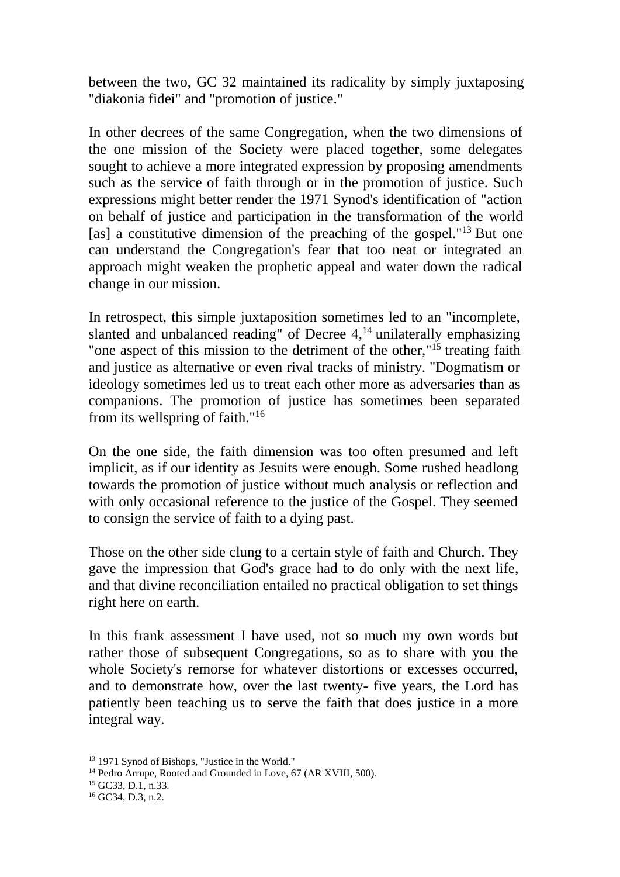between the two, GC 32 maintained its radicality by simply juxtaposing "diakonia fidei" and "promotion of justice."

In other decrees of the same Congregation, when the two dimensions of the one mission of the Society were placed together, some delegates sought to achieve a more integrated expression by proposing amendments such as the service of faith through or in the promotion of justice. Such expressions might better render the 1971 Synod's identification of "action on behalf of justice and participation in the transformation of the world [as] a constitutive dimension of the preaching of the gospel."<sup>13</sup> But one can understand the Congregation's fear that too neat or integrated an approach might weaken the prophetic appeal and water down the radical change in our mission.

In retrospect, this simple juxtaposition sometimes led to an "incomplete, slanted and unbalanced reading" of Decree  $4<sup>14</sup>$  unilaterally emphasizing "one aspect of this mission to the detriment of the other," $15$  treating faith and justice as alternative or even rival tracks of ministry. "Dogmatism or ideology sometimes led us to treat each other more as adversaries than as companions. The promotion of justice has sometimes been separated from its wellspring of faith."<sup>16</sup>

On the one side, the faith dimension was too often presumed and left implicit, as if our identity as Jesuits were enough. Some rushed headlong towards the promotion of justice without much analysis or reflection and with only occasional reference to the justice of the Gospel. They seemed to consign the service of faith to a dying past.

Those on the other side clung to a certain style of faith and Church. They gave the impression that God's grace had to do only with the next life, and that divine reconciliation entailed no practical obligation to set things right here on earth.

In this frank assessment I have used, not so much my own words but rather those of subsequent Congregations, so as to share with you the whole Society's remorse for whatever distortions or excesses occurred, and to demonstrate how, over the last twenty- five years, the Lord has patiently been teaching us to serve the faith that does justice in a more integral way.

-

<sup>13</sup> 1971 Synod of Bishops, "Justice in the World."

<sup>&</sup>lt;sup>14</sup> Pedro Arrupe, Rooted and Grounded in Love, 67 (AR XVIII, 500).

<sup>15</sup> GC33, D.1, n.33.

<sup>16</sup> GC34, D.3, n.2.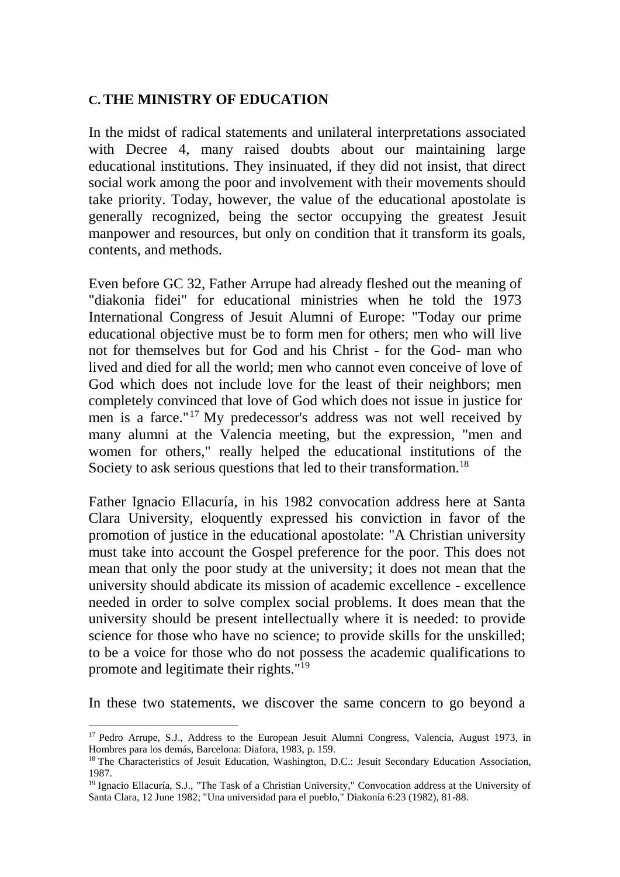### **C. THE MINISTRY OF EDUCATION**

In the midst of radical statements and unilateral interpretations associated with Decree 4, many raised doubts about our maintaining large educational institutions. They insinuated, if they did not insist, that direct social work among the poor and involvement with their movements should take priority. Today, however, the value of the educational apostolate is generally recognized, being the sector occupying the greatest Jesuit manpower and resources, but only on condition that it transform its goals, contents, and methods.

Even before GC 32, Father Arrupe had already fleshed out the meaning of "diakonia fidei" for educational ministries when he told the 1973 International Congress of Jesuit Alumni of Europe: "Today our prime educational objective must be to form men for others; men who will live not for themselves but for God and his Christ - for the God- man who lived and died for all the world; men who cannot even conceive of love of God which does not include love for the least of their neighbors; men completely convinced that love of God which does not issue in justice for men is a farce."<sup>17</sup> My predecessor's address was not well received by many alumni at the Valencia meeting, but the expression, "men and women for others," really helped the educational institutions of the Society to ask serious questions that led to their transformation.<sup>18</sup>

Father Ignacio Ellacuría, in his 1982 convocation address here at Santa Clara University, eloquently expressed his conviction in favor of the promotion of justice in the educational apostolate: "A Christian university must take into account the Gospel preference for the poor. This does not mean that only the poor study at the university; it does not mean that the university should abdicate its mission of academic excellence - excellence needed in order to solve complex social problems. It does mean that the university should be present intellectually where it is needed: to provide science for those who have no science; to provide skills for the unskilled; to be a voice for those who do not possess the academic qualifications to promote and legitimate their rights."<sup>19</sup>

In these two statements, we discover the same concern to go beyond a

<sup>&</sup>lt;sup>17</sup> Pedro Arrupe, S.J., Address to the European Jesuit Alumni Congress, Valencia, August 1973, in Hombres para los demás, Barcelona: Diafora, 1983, p. 159.

<sup>&</sup>lt;sup>18</sup> The Characteristics of Jesuit Education, Washington, D.C.: Jesuit Secondary Education Association, 1987.

<sup>&</sup>lt;sup>19</sup> Ignacio Ellacuría, S.J., "The Task of a Christian University," Convocation address at the University of Santa Clara, 12 June 1982; "Una universidad para el pueblo," Diakonía 6:23 (1982), 81-88.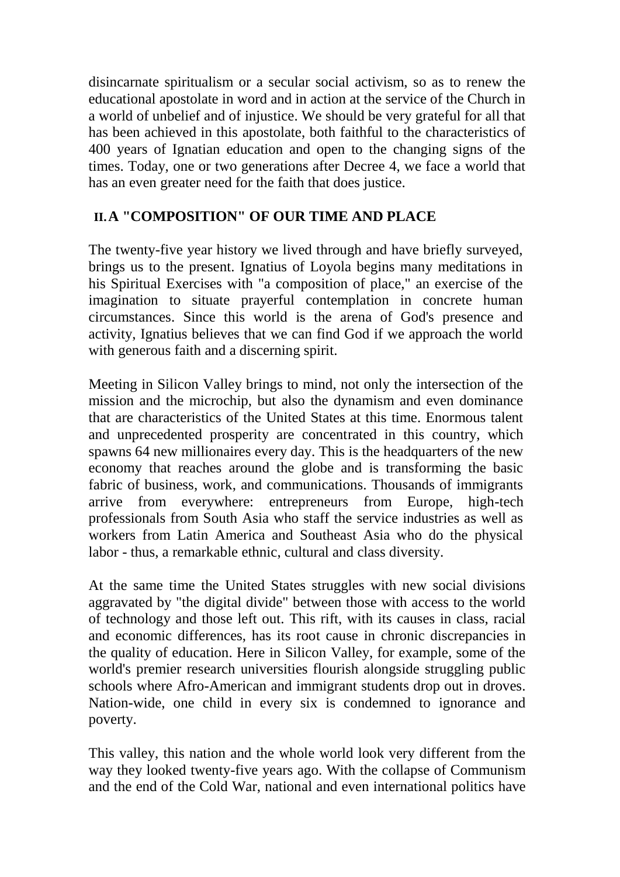disincarnate spiritualism or a secular social activism, so as to renew the educational apostolate in word and in action at the service of the Church in a world of unbelief and of injustice. We should be very grateful for all that has been achieved in this apostolate, both faithful to the characteristics of 400 years of Ignatian education and open to the changing signs of the times. Today, one or two generations after Decree 4, we face a world that has an even greater need for the faith that does justice.

# **II.A "COMPOSITION" OF OUR TIME AND PLACE**

The twenty-five year history we lived through and have briefly surveyed, brings us to the present. Ignatius of Loyola begins many meditations in his Spiritual Exercises with "a composition of place," an exercise of the imagination to situate prayerful contemplation in concrete human circumstances. Since this world is the arena of God's presence and activity, Ignatius believes that we can find God if we approach the world with generous faith and a discerning spirit.

Meeting in Silicon Valley brings to mind, not only the intersection of the mission and the microchip, but also the dynamism and even dominance that are characteristics of the United States at this time. Enormous talent and unprecedented prosperity are concentrated in this country, which spawns 64 new millionaires every day. This is the headquarters of the new economy that reaches around the globe and is transforming the basic fabric of business, work, and communications. Thousands of immigrants arrive from everywhere: entrepreneurs from Europe, high-tech professionals from South Asia who staff the service industries as well as workers from Latin America and Southeast Asia who do the physical labor - thus, a remarkable ethnic, cultural and class diversity.

At the same time the United States struggles with new social divisions aggravated by "the digital divide" between those with access to the world of technology and those left out. This rift, with its causes in class, racial and economic differences, has its root cause in chronic discrepancies in the quality of education. Here in Silicon Valley, for example, some of the world's premier research universities flourish alongside struggling public schools where Afro-American and immigrant students drop out in droves. Nation-wide, one child in every six is condemned to ignorance and poverty.

This valley, this nation and the whole world look very different from the way they looked twenty-five years ago. With the collapse of Communism and the end of the Cold War, national and even international politics have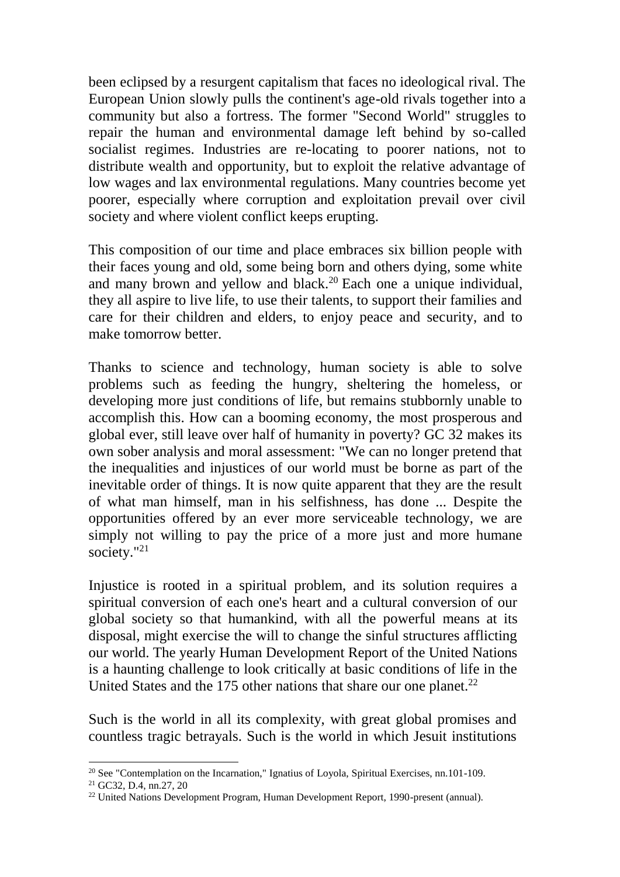been eclipsed by a resurgent capitalism that faces no ideological rival. The European Union slowly pulls the continent's age-old rivals together into a community but also a fortress. The former "Second World" struggles to repair the human and environmental damage left behind by so-called socialist regimes. Industries are re-locating to poorer nations, not to distribute wealth and opportunity, but to exploit the relative advantage of low wages and lax environmental regulations. Many countries become yet poorer, especially where corruption and exploitation prevail over civil society and where violent conflict keeps erupting.

This composition of our time and place embraces six billion people with their faces young and old, some being born and others dying, some white and many brown and yellow and black.<sup>20</sup> Each one a unique individual, they all aspire to live life, to use their talents, to support their families and care for their children and elders, to enjoy peace and security, and to make tomorrow better.

Thanks to science and technology, human society is able to solve problems such as feeding the hungry, sheltering the homeless, or developing more just conditions of life, but remains stubbornly unable to accomplish this. How can a booming economy, the most prosperous and global ever, still leave over half of humanity in poverty? GC 32 makes its own sober analysis and moral assessment: "We can no longer pretend that the inequalities and injustices of our world must be borne as part of the inevitable order of things. It is now quite apparent that they are the result of what man himself, man in his selfishness, has done ... Despite the opportunities offered by an ever more serviceable technology, we are simply not willing to pay the price of a more just and more humane society."<sup>21</sup>

Injustice is rooted in a spiritual problem, and its solution requires a spiritual conversion of each one's heart and a cultural conversion of our global society so that humankind, with all the powerful means at its disposal, might exercise the will to change the sinful structures afflicting our world. The yearly Human Development Report of the United Nations is a haunting challenge to look critically at basic conditions of life in the United States and the 175 other nations that share our one planet.<sup>22</sup>

Such is the world in all its complexity, with great global promises and countless tragic betrayals. Such is the world in which Jesuit institutions

<sup>&</sup>lt;sup>20</sup> See "Contemplation on the Incarnation," Ignatius of Loyola, Spiritual Exercises, nn.101-109.

<sup>21</sup> GC32, D.4, nn.27, 20

<sup>22</sup> United Nations Development Program, Human Development Report, 1990-present (annual).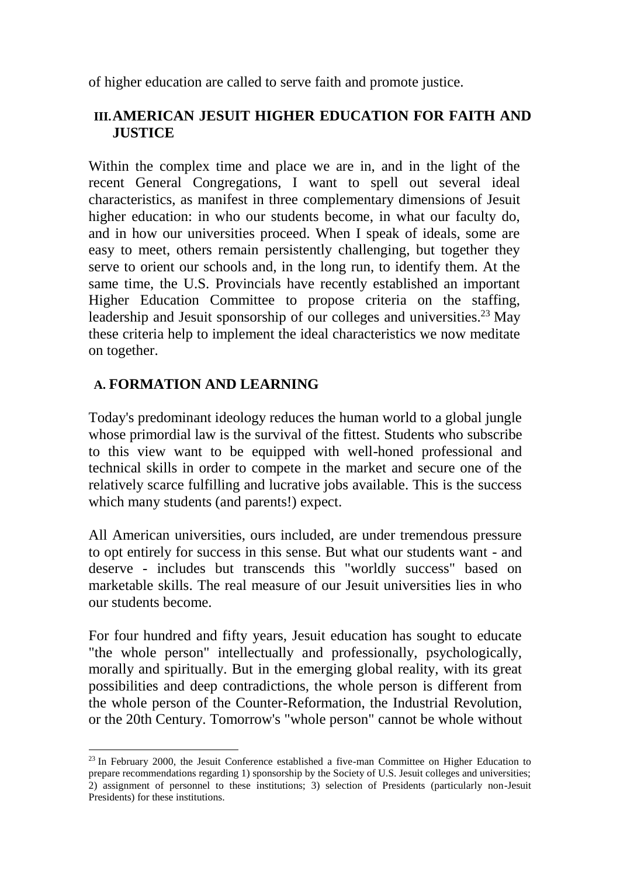of higher education are called to serve faith and promote justice.

## **III.AMERICAN JESUIT HIGHER EDUCATION FOR FAITH AND JUSTICE**

Within the complex time and place we are in, and in the light of the recent General Congregations, I want to spell out several ideal characteristics, as manifest in three complementary dimensions of Jesuit higher education: in who our students become, in what our faculty do, and in how our universities proceed. When I speak of ideals, some are easy to meet, others remain persistently challenging, but together they serve to orient our schools and, in the long run, to identify them. At the same time, the U.S. Provincials have recently established an important Higher Education Committee to propose criteria on the staffing, leadership and Jesuit sponsorship of our colleges and universities.<sup>23</sup> May these criteria help to implement the ideal characteristics we now meditate on together.

# **A. FORMATION AND LEARNING**

-

Today's predominant ideology reduces the human world to a global jungle whose primordial law is the survival of the fittest. Students who subscribe to this view want to be equipped with well-honed professional and technical skills in order to compete in the market and secure one of the relatively scarce fulfilling and lucrative jobs available. This is the success which many students (and parents!) expect.

All American universities, ours included, are under tremendous pressure to opt entirely for success in this sense. But what our students want - and deserve - includes but transcends this "worldly success" based on marketable skills. The real measure of our Jesuit universities lies in who our students become.

For four hundred and fifty years, Jesuit education has sought to educate "the whole person" intellectually and professionally, psychologically, morally and spiritually. But in the emerging global reality, with its great possibilities and deep contradictions, the whole person is different from the whole person of the Counter-Reformation, the Industrial Revolution, or the 20th Century. Tomorrow's "whole person" cannot be whole without

<sup>&</sup>lt;sup>23</sup> In February 2000, the Jesuit Conference established a five-man Committee on Higher Education to prepare recommendations regarding 1) sponsorship by the Society of U.S. Jesuit colleges and universities; 2) assignment of personnel to these institutions; 3) selection of Presidents (particularly non-Jesuit Presidents) for these institutions.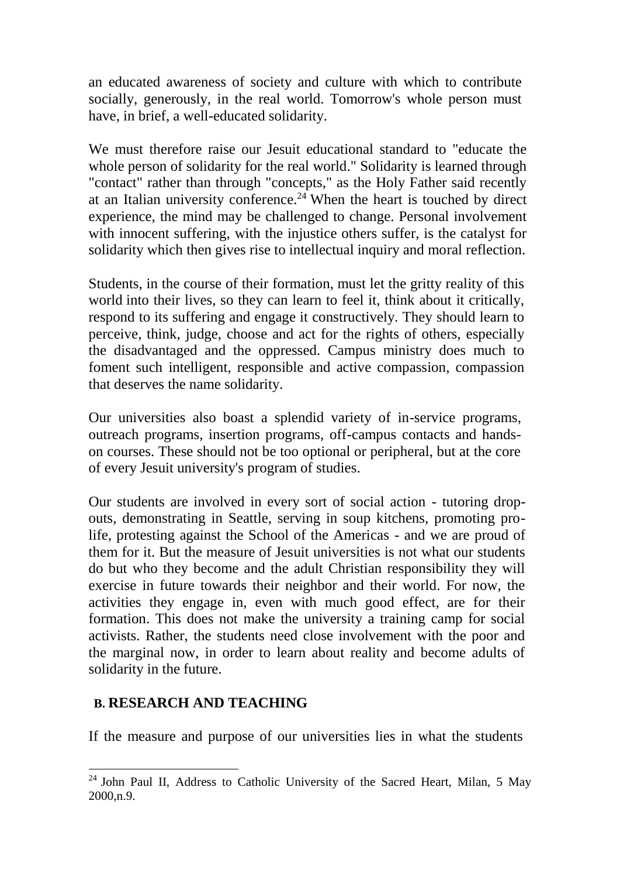an educated awareness of society and culture with which to contribute socially, generously, in the real world. Tomorrow's whole person must have, in brief, a well-educated solidarity.

We must therefore raise our Jesuit educational standard to "educate the whole person of solidarity for the real world." Solidarity is learned through "contact" rather than through "concepts," as the Holy Father said recently at an Italian university conference.<sup>24</sup> When the heart is touched by direct experience, the mind may be challenged to change. Personal involvement with innocent suffering, with the injustice others suffer, is the catalyst for solidarity which then gives rise to intellectual inquiry and moral reflection.

Students, in the course of their formation, must let the gritty reality of this world into their lives, so they can learn to feel it, think about it critically, respond to its suffering and engage it constructively. They should learn to perceive, think, judge, choose and act for the rights of others, especially the disadvantaged and the oppressed. Campus ministry does much to foment such intelligent, responsible and active compassion, compassion that deserves the name solidarity.

Our universities also boast a splendid variety of in-service programs, outreach programs, insertion programs, off-campus contacts and handson courses. These should not be too optional or peripheral, but at the core of every Jesuit university's program of studies.

Our students are involved in every sort of social action - tutoring dropouts, demonstrating in Seattle, serving in soup kitchens, promoting prolife, protesting against the School of the Americas - and we are proud of them for it. But the measure of Jesuit universities is not what our students do but who they become and the adult Christian responsibility they will exercise in future towards their neighbor and their world. For now, the activities they engage in, even with much good effect, are for their formation. This does not make the university a training camp for social activists. Rather, the students need close involvement with the poor and the marginal now, in order to learn about reality and become adults of solidarity in the future.

## **B. RESEARCH AND TEACHING**

If the measure and purpose of our universities lies in what the students

<sup>-</sup><sup>24</sup> John Paul II, Address to Catholic University of the Sacred Heart, Milan, 5 May 2000,n.9.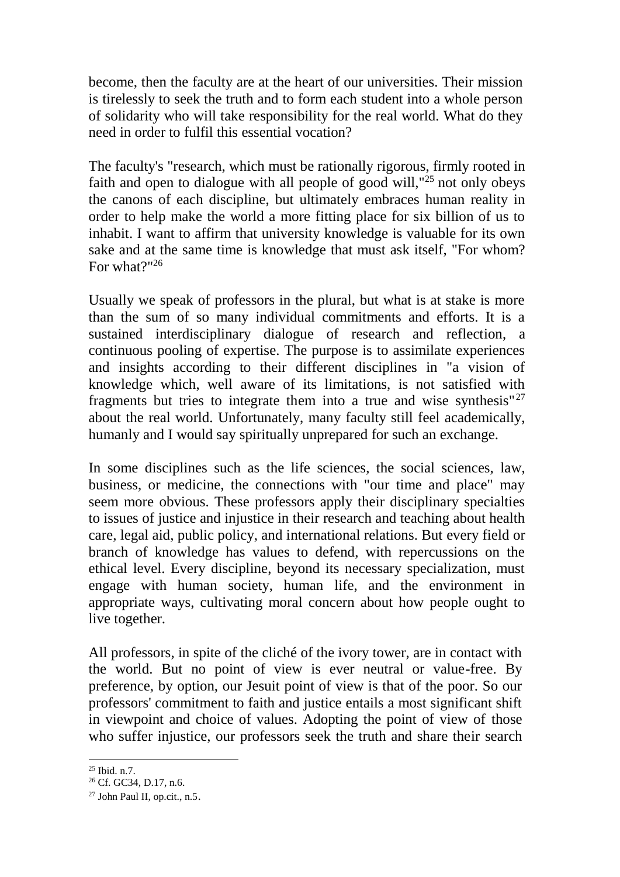become, then the faculty are at the heart of our universities. Their mission is tirelessly to seek the truth and to form each student into a whole person of solidarity who will take responsibility for the real world. What do they need in order to fulfil this essential vocation?

The faculty's "research, which must be rationally rigorous, firmly rooted in faith and open to dialogue with all people of good will,"<sup>25</sup> not only obeys the canons of each discipline, but ultimately embraces human reality in order to help make the world a more fitting place for six billion of us to inhabit. I want to affirm that university knowledge is valuable for its own sake and at the same time is knowledge that must ask itself, "For whom? For what?"<sup>26</sup>

Usually we speak of professors in the plural, but what is at stake is more than the sum of so many individual commitments and efforts. It is a sustained interdisciplinary dialogue of research and reflection, a continuous pooling of expertise. The purpose is to assimilate experiences and insights according to their different disciplines in "a vision of knowledge which, well aware of its limitations, is not satisfied with fragments but tries to integrate them into a true and wise synthesis" $27$ about the real world. Unfortunately, many faculty still feel academically, humanly and I would say spiritually unprepared for such an exchange.

In some disciplines such as the life sciences, the social sciences, law, business, or medicine, the connections with "our time and place" may seem more obvious. These professors apply their disciplinary specialties to issues of justice and injustice in their research and teaching about health care, legal aid, public policy, and international relations. But every field or branch of knowledge has values to defend, with repercussions on the ethical level. Every discipline, beyond its necessary specialization, must engage with human society, human life, and the environment in appropriate ways, cultivating moral concern about how people ought to live together.

All professors, in spite of the cliché of the ivory tower, are in contact with the world. But no point of view is ever neutral or value-free. By preference, by option, our Jesuit point of view is that of the poor. So our professors' commitment to faith and justice entails a most significant shift in viewpoint and choice of values. Adopting the point of view of those who suffer injustice, our professors seek the truth and share their search

 $25$  Ibid. n.7.

<sup>26</sup> Cf. GC34, D.17, n.6.

<sup>27</sup> John Paul II, op.cit., n.5.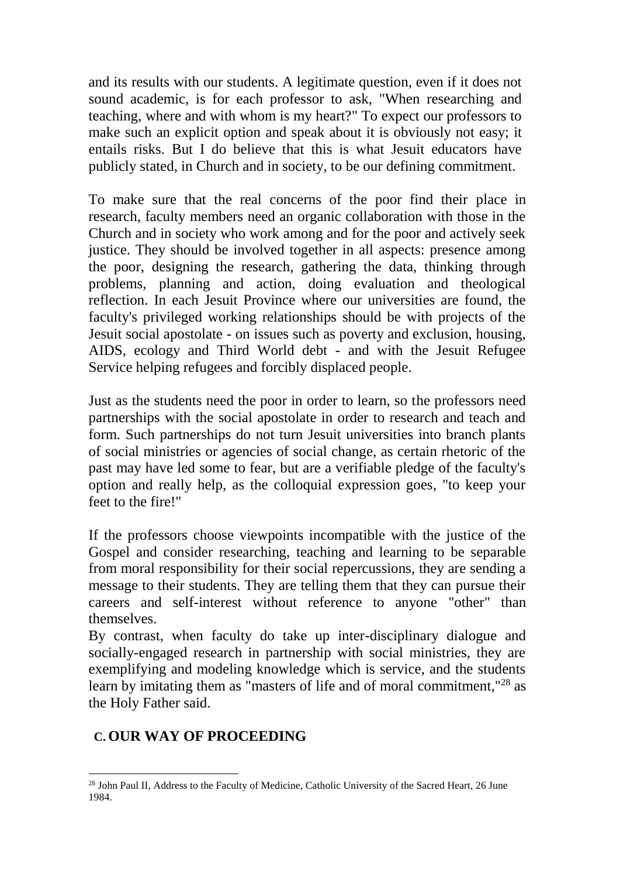and its results with our students. A legitimate question, even if it does not sound academic, is for each professor to ask, "When researching and teaching, where and with whom is my heart?" To expect our professors to make such an explicit option and speak about it is obviously not easy; it entails risks. But I do believe that this is what Jesuit educators have publicly stated, in Church and in society, to be our defining commitment.

To make sure that the real concerns of the poor find their place in research, faculty members need an organic collaboration with those in the Church and in society who work among and for the poor and actively seek justice. They should be involved together in all aspects: presence among the poor, designing the research, gathering the data, thinking through problems, planning and action, doing evaluation and theological reflection. In each Jesuit Province where our universities are found, the faculty's privileged working relationships should be with projects of the Jesuit social apostolate - on issues such as poverty and exclusion, housing, AIDS, ecology and Third World debt - and with the Jesuit Refugee Service helping refugees and forcibly displaced people.

Just as the students need the poor in order to learn, so the professors need partnerships with the social apostolate in order to research and teach and form. Such partnerships do not turn Jesuit universities into branch plants of social ministries or agencies of social change, as certain rhetoric of the past may have led some to fear, but are a verifiable pledge of the faculty's option and really help, as the colloquial expression goes, "to keep your feet to the fire!"

If the professors choose viewpoints incompatible with the justice of the Gospel and consider researching, teaching and learning to be separable from moral responsibility for their social repercussions, they are sending a message to their students. They are telling them that they can pursue their careers and self-interest without reference to anyone "other" than themselves.

By contrast, when faculty do take up inter-disciplinary dialogue and socially-engaged research in partnership with social ministries, they are exemplifying and modeling knowledge which is service, and the students learn by imitating them as "masters of life and of moral commitment,"<sup>28</sup> as the Holy Father said.

## **C. OUR WAY OF PROCEEDING**

<sup>-</sup><sup>28</sup> John Paul II, Address to the Faculty of Medicine, Catholic University of the Sacred Heart, 26 June 1984.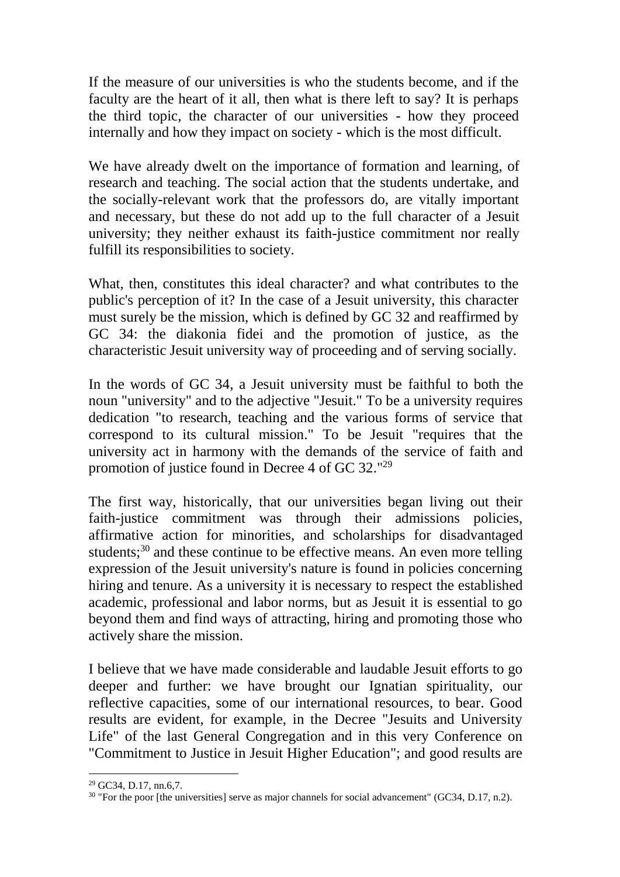If the measure of our universities is who the students become, and if the faculty are the heart of it all, then what is there left to say? It is perhaps the third topic, the character of our universities - how they proceed internally and how they impact on society - which is the most difficult.

We have already dwelt on the importance of formation and learning, of research and teaching. The social action that the students undertake, and the socially-relevant work that the professors do, are vitally important and necessary, but these do not add up to the full character of a Jesuit university; they neither exhaust its faith-justice commitment nor really fulfill its responsibilities to society.

What, then, constitutes this ideal character? and what contributes to the public's perception of it? In the case of a Jesuit university, this character must surely be the mission, which is defined by GC 32 and reaffirmed by GC 34: the diakonia fidei and the promotion of justice, as the characteristic Jesuit university way of proceeding and of serving socially.

In the words of GC 34, a Jesuit university must be faithful to both the noun "university" and to the adjective "Jesuit." To be a university requires dedication "to research, teaching and the various forms of service that correspond to its cultural mission." To be Jesuit "requires that the university act in harmony with the demands of the service of faith and promotion of justice found in Decree 4 of GC 32."<sup>29</sup>

The first way, historically, that our universities began living out their faith-justice commitment was through their admissions policies, affirmative action for minorities, and scholarships for disadvantaged students;<sup>30</sup> and these continue to be effective means. An even more telling expression of the Jesuit university's nature is found in policies concerning hiring and tenure. As a university it is necessary to respect the established academic, professional and labor norms, but as Jesuit it is essential to go beyond them and find ways of attracting, hiring and promoting those who actively share the mission.

I believe that we have made considerable and laudable Jesuit efforts to go deeper and further: we have brought our Ignatian spirituality, our reflective capacities, some of our international resources, to bear. Good results are evident, for example, in the Decree "Jesuits and University Life" of the last General Congregation and in this very Conference on "Commitment to Justice in Jesuit Higher Education"; and good results are

-

<sup>29</sup> GC34, D.17, nn.6,7.

<sup>&</sup>lt;sup>30</sup> "For the poor [the universities] serve as major channels for social advancement" (GC34, D.17, n.2).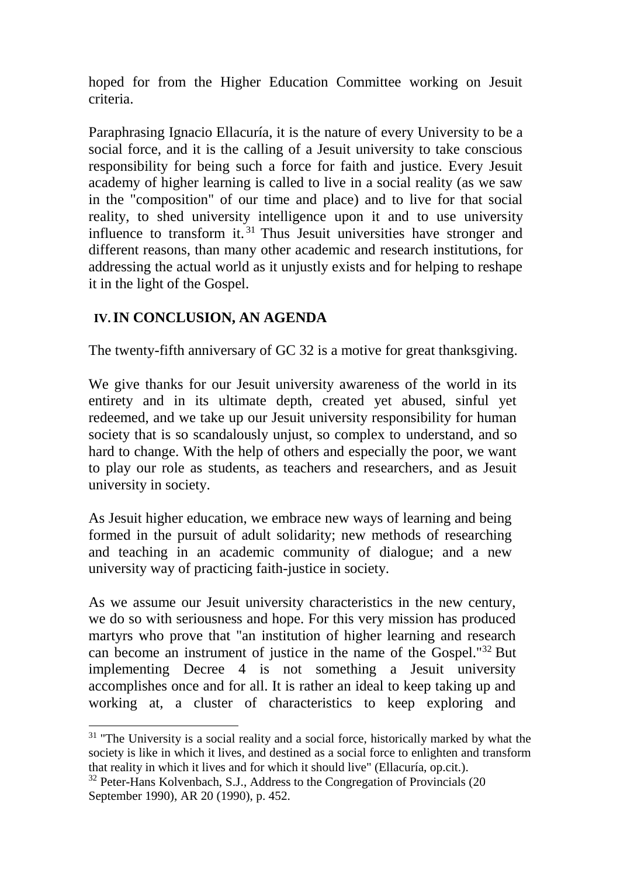hoped for from the Higher Education Committee working on Jesuit criteria.

Paraphrasing Ignacio Ellacuría, it is the nature of every University to be a social force, and it is the calling of a Jesuit university to take conscious responsibility for being such a force for faith and justice. Every Jesuit academy of higher learning is called to live in a social reality (as we saw in the "composition" of our time and place) and to live for that social reality, to shed university intelligence upon it and to use university influence to transform it. <sup>31</sup> Thus Jesuit universities have stronger and different reasons, than many other academic and research institutions, for addressing the actual world as it unjustly exists and for helping to reshape it in the light of the Gospel.

## **IV.IN CONCLUSION, AN AGENDA**

1

The twenty-fifth anniversary of GC 32 is a motive for great thanksgiving.

We give thanks for our Jesuit university awareness of the world in its entirety and in its ultimate depth, created yet abused, sinful yet redeemed, and we take up our Jesuit university responsibility for human society that is so scandalously unjust, so complex to understand, and so hard to change. With the help of others and especially the poor, we want to play our role as students, as teachers and researchers, and as Jesuit university in society.

As Jesuit higher education, we embrace new ways of learning and being formed in the pursuit of adult solidarity; new methods of researching and teaching in an academic community of dialogue; and a new university way of practicing faith-justice in society.

As we assume our Jesuit university characteristics in the new century, we do so with seriousness and hope. For this very mission has produced martyrs who prove that "an institution of higher learning and research can become an instrument of justice in the name of the Gospel."<sup>32</sup> But implementing Decree 4 is not something a Jesuit university accomplishes once and for all. It is rather an ideal to keep taking up and working at, a cluster of characteristics to keep exploring and

 $31$  "The University is a social reality and a social force, historically marked by what the society is like in which it lives, and destined as a social force to enlighten and transform that reality in which it lives and for which it should live" (Ellacuría, op.cit.).

<sup>&</sup>lt;sup>32</sup> Peter-Hans Kolvenbach, S.J., Address to the Congregation of Provincials (20) September 1990), AR 20 (1990), p. 452.